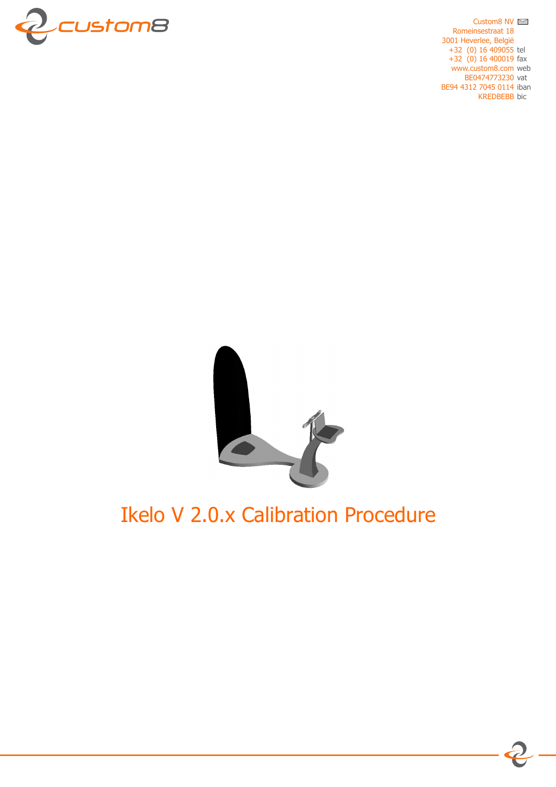

Custom8 NV  $\approx$ Romeinsestraat 18 3001 Heverlee, België  $+32$  (0) 16 409055 tel  $+32$  (0) 16 400019 fax www.custom8.com web BE0474773230 vat BE94 4312 7045 0114 iban **KREDBEBB** bic



# **Ikelo V 2.0.x Calibration Procedure**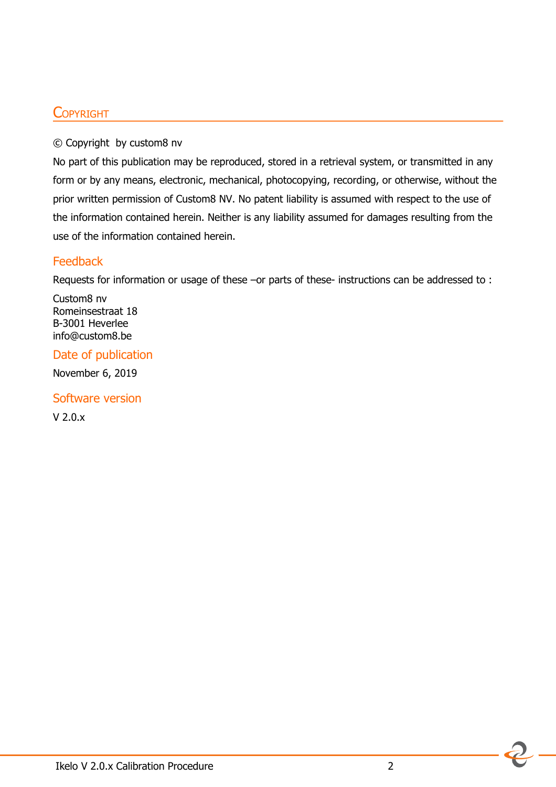### **COPYRIGHT**

#### © Copyright by custom8 nv

No part of this publication may be reproduced, stored in a retrieval system, or transmitted in any form or by any means, electronic, mechanical, photocopying, recording, or otherwise, without the prior written permission of Custom8 NV. No patent liability is assumed with respect to the use of the information contained herein. Neither is any liability assumed for damages resulting from the use of the information contained herein.

#### **Feedback**

Requests for information or usage of these –or parts of these- instructions can be addressed to :

Custom8 nv Romeinsestraat 18 B-3001 Heverlee info@custom8.be

Date of publication

November 6, 2019

Software version

V 2.0.x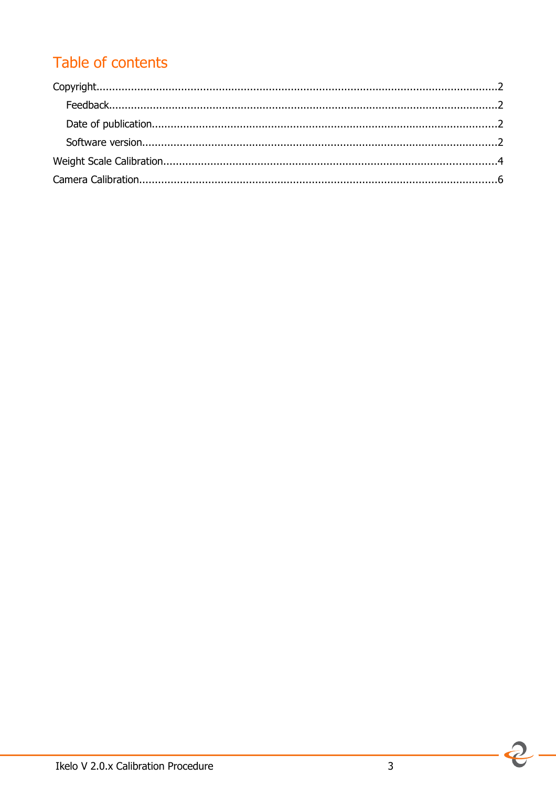## Table of contents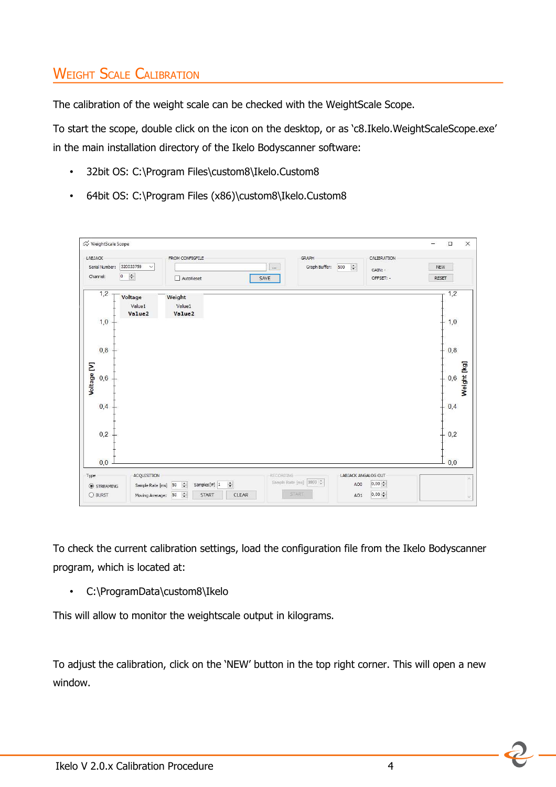## **WEIGHT SCALE CALIBRATION**

The calibration of the weight scale can be checked with the WeightScale Scope.

To start the scope, double click on the icon on the desktop, or as 'c8.Ikelo.WeightScaleScope.exe' in the main installation directory of the Ikelo Bodyscanner software:

- 32bit OS: C:\Program Files\custom8\Ikelo.Custom8
- 64bit OS: C:\Program Files (x86)\custom8\Ikelo.Custom8

| FROM CONFIGFILE<br>AutoReset           | GRAPH<br>Graph Buffer:<br>H<br>500<br>$\cdots$<br>SAVE | CALIBRATION<br>NEW<br>GAIN: -<br>OFFSET: -<br><b>RESET</b> |             |
|----------------------------------------|--------------------------------------------------------|------------------------------------------------------------|-------------|
| Weight<br>Value1<br>Value <sub>2</sub> |                                                        | 1,2<br>1,0                                                 |             |
|                                        |                                                        | $+ 0.8$                                                    |             |
|                                        |                                                        | 0,6                                                        | Weight [kg] |
|                                        |                                                        | 0,4                                                        |             |
|                                        |                                                        | 0,2                                                        |             |
|                                        |                                                        | 0,0                                                        |             |
|                                        |                                                        |                                                            |             |

To check the current calibration settings, load the configuration file from the Ikelo Bodyscanner program, which is located at:

• C:\ProgramData\custom8\Ikelo

This will allow to monitor the weightscale output in kilograms.

To adjust the calibration, click on the 'NEW' button in the top right corner. This will open a new window.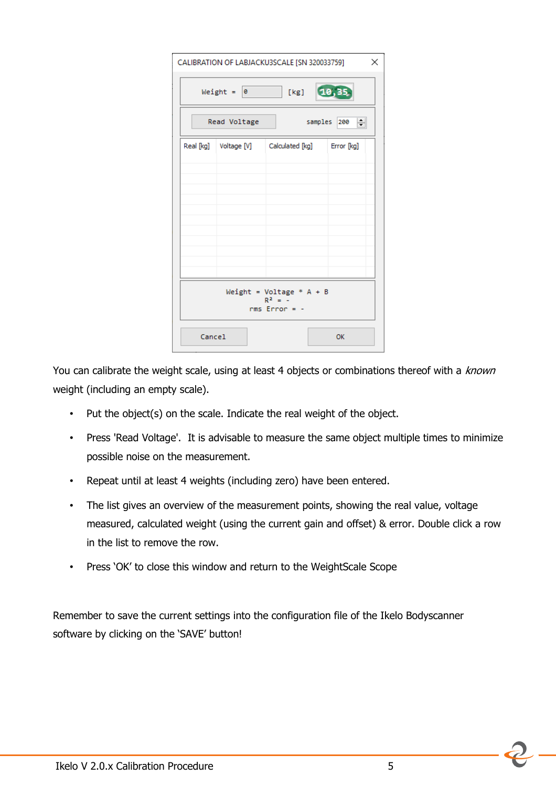|                                                            |                | CALIBRATION OF LABJACKU3SCALE [SN 320033759]           | ×     |  |  |  |  |
|------------------------------------------------------------|----------------|--------------------------------------------------------|-------|--|--|--|--|
|                                                            | Weight = $ 0 $ | [kg]                                                   | 10,35 |  |  |  |  |
| samples 200<br>≑∥<br>Read Voltage                          |                |                                                        |       |  |  |  |  |
|                                                            |                | Real [kg]   Voltage [V]   Calculated [kg]   Error [kg] |       |  |  |  |  |
|                                                            |                |                                                        |       |  |  |  |  |
|                                                            |                |                                                        |       |  |  |  |  |
|                                                            |                |                                                        |       |  |  |  |  |
|                                                            |                |                                                        |       |  |  |  |  |
|                                                            |                |                                                        |       |  |  |  |  |
| Weight = Voltage $* A + B$<br>$R^2 = -$<br>$rms Error = -$ |                |                                                        |       |  |  |  |  |
| Cancel                                                     |                |                                                        | OK    |  |  |  |  |

You can calibrate the weight scale, using at least 4 objects or combinations thereof with a known weight (including an empty scale).

- Put the object(s) on the scale. Indicate the real weight of the object.
- Press 'Read Voltage'. It is advisable to measure the same object multiple times to minimize possible noise on the measurement.
- Repeat until at least 4 weights (including zero) have been entered.
- The list gives an overview of the measurement points, showing the real value, voltage measured, calculated weight (using the current gain and offset) & error. Double click a row in the list to remove the row.
- Press 'OK' to close this window and return to the WeightScale Scope

Remember to save the current settings into the configuration file of the Ikelo Bodyscanner software by clicking on the 'SAVE' button!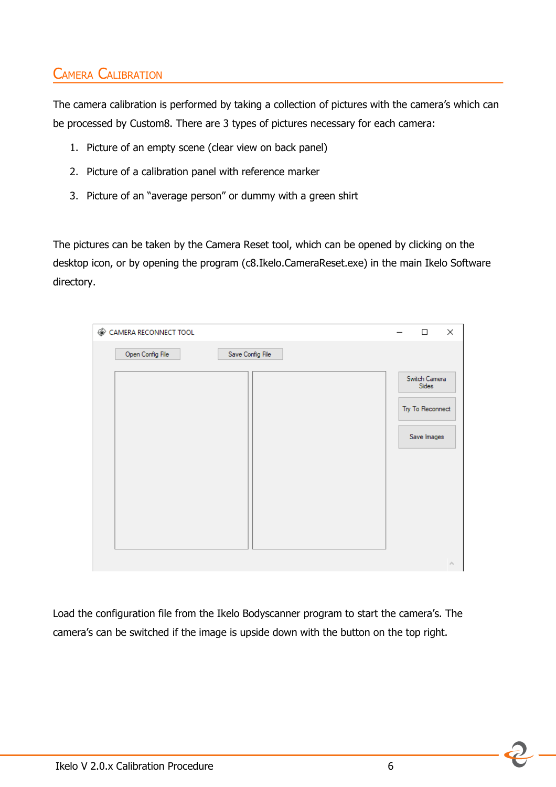## CAMERA CALIBRATION

The camera calibration is performed by taking a collection of pictures with the camera's which can be processed by Custom8. There are 3 types of pictures necessary for each camera:

- 1. Picture of an empty scene (clear view on back panel)
- 2. Picture of a calibration panel with reference marker
- 3. Picture of an "average person" or dummy with a green shirt

The pictures can be taken by the Camera Reset tool, which can be opened by clicking on the desktop icon, or by opening the program (c8.Ikelo.CameraReset.exe) in the main Ikelo Software directory.

| CAMERA RECONNECT TOOL                | $\Box$                                                    | ×               |
|--------------------------------------|-----------------------------------------------------------|-----------------|
| Open Config File<br>Save Config File |                                                           |                 |
|                                      | Switch Camera<br>Sides<br>Try To Reconnect<br>Save Images |                 |
|                                      |                                                           | $\mathcal{O}_1$ |

Load the configuration file from the Ikelo Bodyscanner program to start the camera's. The camera's can be switched if the image is upside down with the button on the top right.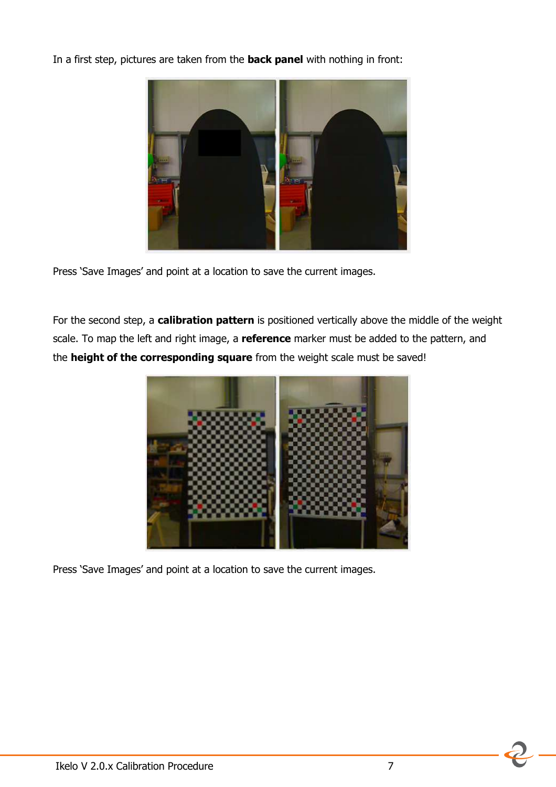In a first step, pictures are taken from the **back panel** with nothing in front:



Press 'Save Images' and point at a location to save the current images.

For the second step, a **calibration pattern** is positioned vertically above the middle of the weight scale. To map the left and right image, a **reference** marker must be added to the pattern, and the **height of the corresponding square** from the weight scale must be saved!



Press 'Save Images' and point at a location to save the current images.